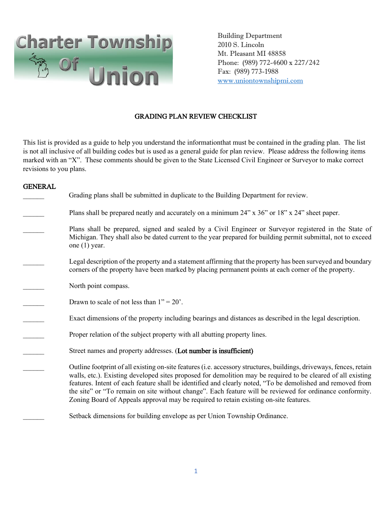

 Building Department 2010 S. Lincoln Mt. Pleasant MI 48858 Phone: (989) 772-4600 x 227/242 Fax: (989) 773-1988 [www.uniontownshipmi.com](http://www.uniontownshipmi.com/)

# GRADING PLAN REVIEW CHECKLIST

This list is provided as a guide to help you understand the informationthat must be contained in the grading plan. The list is not all inclusive of all building codes but is used as a general guide for plan review. Please address the following items marked with an "X". These comments should be given to the State Licensed Civil Engineer or Surveyor to make correct revisions to you plans.

## GENERAL

| Grading plans shall be submitted in duplicate to the Building Department for review.                                                                                                                                                                                                                                                                                                                                                                                                                                                                   |
|--------------------------------------------------------------------------------------------------------------------------------------------------------------------------------------------------------------------------------------------------------------------------------------------------------------------------------------------------------------------------------------------------------------------------------------------------------------------------------------------------------------------------------------------------------|
| Plans shall be prepared neatly and accurately on a minimum 24" x 36" or 18" x 24" sheet paper.                                                                                                                                                                                                                                                                                                                                                                                                                                                         |
| Plans shall be prepared, signed and sealed by a Civil Engineer or Surveyor registered in the State of<br>Michigan. They shall also be dated current to the year prepared for building permit submittal, not to exceed<br>one $(1)$ year.                                                                                                                                                                                                                                                                                                               |
| Legal description of the property and a statement affirming that the property has been surveyed and boundary<br>corners of the property have been marked by placing permanent points at each corner of the property.                                                                                                                                                                                                                                                                                                                                   |
| North point compass.                                                                                                                                                                                                                                                                                                                                                                                                                                                                                                                                   |
| Drawn to scale of not less than $1" = 20'$ .                                                                                                                                                                                                                                                                                                                                                                                                                                                                                                           |
| Exact dimensions of the property including bearings and distances as described in the legal description.                                                                                                                                                                                                                                                                                                                                                                                                                                               |
| Proper relation of the subject property with all abutting property lines.                                                                                                                                                                                                                                                                                                                                                                                                                                                                              |
| Street names and property addresses. (Lot number is insufficient)                                                                                                                                                                                                                                                                                                                                                                                                                                                                                      |
| Outline footprint of all existing on-site features (i.e. accessory structures, buildings, driveways, fences, retain<br>walls, etc.). Existing developed sites proposed for demolition may be required to be cleared of all existing<br>features. Intent of each feature shall be identified and clearly noted, "To be demolished and removed from<br>the site" or "To remain on site without change". Each feature will be reviewed for ordinance conformity.<br>Zoning Board of Appeals approval may be required to retain existing on-site features. |
| Setback dimensions for building envelope as per Union Township Ordinance.                                                                                                                                                                                                                                                                                                                                                                                                                                                                              |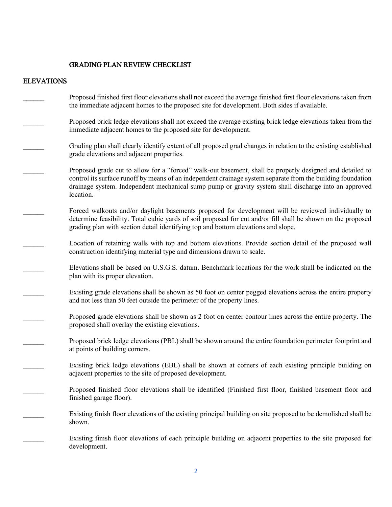## GRADING PLAN REVIEW CHECKLIST

#### ELEVATIONS

- \_\_\_\_\_\_ Proposed finished first floor elevations shall not exceed the average finished first floor elevations taken from the immediate adjacent homes to the proposed site for development. Both sides if available.
- \_\_\_\_\_\_ Proposed brick ledge elevations shall not exceed the average existing brick ledge elevations taken from the immediate adjacent homes to the proposed site for development.
- \_\_\_\_\_\_ Grading plan shall clearly identify extent of all proposed grad changes in relation to the existing established grade elevations and adjacent properties.
- \_\_\_\_\_\_ Proposed grade cut to allow for a "forced" walk-out basement, shall be properly designed and detailed to control its surface runoff by means of an independent drainage system separate from the building foundation drainage system. Independent mechanical sump pump or gravity system shall discharge into an approved location.
- Forced walkouts and/or daylight basements proposed for development will be reviewed individually to determine feasibility. Total cubic yards of soil proposed for cut and/or fill shall be shown on the proposed grading plan with section detail identifying top and bottom elevations and slope.
- Location of retaining walls with top and bottom elevations. Provide section detail of the proposed wall construction identifying material type and dimensions drawn to scale.
	- Elevations shall be based on U.S.G.S. datum. Benchmark locations for the work shall be indicated on the plan with its proper elevation.
		- Existing grade elevations shall be shown as 50 foot on center pegged elevations across the entire property and not less than 50 feet outside the perimeter of the property lines.
			- Proposed grade elevations shall be shown as 2 foot on center contour lines across the entire property. The proposed shall overlay the existing elevations.
				- \_\_\_\_\_\_ Proposed brick ledge elevations (PBL) shall be shown around the entire foundation perimeter footprint and at points of building corners.
				- Existing brick ledge elevations (EBL) shall be shown at corners of each existing principle building on adjacent properties to the site of proposed development.
			- Proposed finished floor elevations shall be identified (Finished first floor, finished basement floor and finished garage floor).
			- \_\_\_\_\_\_ Existing finish floor elevations of the existing principal building on site proposed to be demolished shall be shown.
			- \_\_\_\_\_\_ Existing finish floor elevations of each principle building on adjacent properties to the site proposed for development.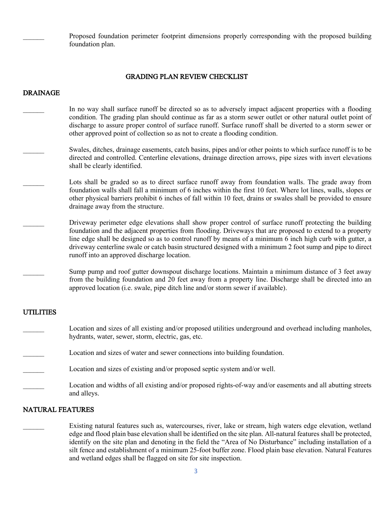Proposed foundation perimeter footprint dimensions properly corresponding with the proposed building foundation plan.

# GRADING PLAN REVIEW CHECKLIST

#### DRAINAGE

- In no way shall surface runoff be directed so as to adversely impact adjacent properties with a flooding condition. The grading plan should continue as far as a storm sewer outlet or other natural outlet point of discharge to assure proper control of surface runoff. Surface runoff shall be diverted to a storm sewer or other approved point of collection so as not to create a flooding condition.
- Swales, ditches, drainage easements, catch basins, pipes and/or other points to which surface runoff is to be directed and controlled. Centerline elevations, drainage direction arrows, pipe sizes with invert elevations shall be clearly identified.
- Lots shall be graded so as to direct surface runoff away from foundation walls. The grade away from foundation walls shall fall a minimum of 6 inches within the first 10 feet. Where lot lines, walls, slopes or other physical barriers prohibit 6 inches of fall within 10 feet, drains or swales shall be provided to ensure drainage away from the structure.
- \_\_\_\_\_\_ Driveway perimeter edge elevations shall show proper control of surface runoff protecting the building foundation and the adjacent properties from flooding. Driveways that are proposed to extend to a property line edge shall be designed so as to control runoff by means of a minimum 6 inch high curb with gutter, a driveway centerline swale or catch basin structured designed with a minimum 2 foot sump and pipe to direct runoff into an approved discharge location.
	- Sump pump and roof gutter downspout discharge locations. Maintain a minimum distance of 3 feet away from the building foundation and 20 feet away from a property line. Discharge shall be directed into an approved location (i.e. swale, pipe ditch line and/or storm sewer if available).

#### UTILITIES

- Location and sizes of all existing and/or proposed utilities underground and overhead including manholes, hydrants, water, sewer, storm, electric, gas, etc.
- Location and sizes of water and sewer connections into building foundation.
- Location and sizes of existing and/or proposed septic system and/or well.
- Location and widths of all existing and/or proposed rights-of-way and/or easements and all abutting streets and alleys.

## NATURAL FEATURES

\_\_\_\_\_\_ Existing natural features such as, watercourses, river, lake or stream, high waters edge elevation, wetland edge and flood plain base elevation shall be identified on the site plan. All-natural features shall be protected, identify on the site plan and denoting in the field the "Area of No Disturbance" including installation of a silt fence and establishment of a minimum 25-foot buffer zone. Flood plain base elevation. Natural Features and wetland edges shall be flagged on site for site inspection.